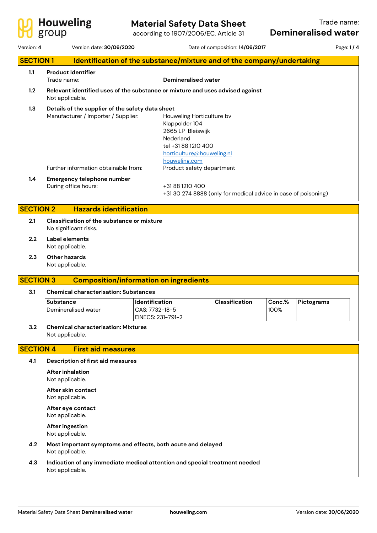

## **Material Safety Data Sheet**

|                                                                                           | group                                                                                   | according to 1907/2006/EC, Article 31                                                                                                              |                                                                |                | <b>Demineralised water</b> |           |  |  |
|-------------------------------------------------------------------------------------------|-----------------------------------------------------------------------------------------|----------------------------------------------------------------------------------------------------------------------------------------------------|----------------------------------------------------------------|----------------|----------------------------|-----------|--|--|
| Version: 4                                                                                | Version date: 30/06/2020                                                                |                                                                                                                                                    | Date of composition: 14/06/2017                                |                |                            | Page: 1/4 |  |  |
| <b>SECTION1</b><br>Identification of the substance/mixture and of the company/undertaking |                                                                                         |                                                                                                                                                    |                                                                |                |                            |           |  |  |
| 1.1                                                                                       | <b>Product Identifier</b><br>Trade name:                                                | <b>Demineralised water</b>                                                                                                                         |                                                                |                |                            |           |  |  |
| 1.2                                                                                       | Not applicable.                                                                         | Relevant identified uses of the substance or mixture and uses advised against                                                                      |                                                                |                |                            |           |  |  |
| 1.3                                                                                       | Details of the supplier of the safety data sheet<br>Manufacturer / Importer / Supplier: | Houweling Horticulture bv<br>Klappolder 104<br>2665 LP Bleiswijk<br>Nederland<br>tel +31 88 1210 400<br>horticulture@houweling.nl<br>houweling.com |                                                                |                |                            |           |  |  |
|                                                                                           | Further information obtainable from:                                                    | Product safety department                                                                                                                          |                                                                |                |                            |           |  |  |
| $1.4\,$                                                                                   | Emergency telephone number<br>During office hours:                                      | +31 88 1210 400                                                                                                                                    | +31 30 274 8888 (only for medical advice in case of poisoning) |                |                            |           |  |  |
|                                                                                           | <b>SECTION 2</b><br><b>Hazards identification</b>                                       |                                                                                                                                                    |                                                                |                |                            |           |  |  |
| 2.1                                                                                       | No significant risks.                                                                   | Classification of the substance or mixture                                                                                                         |                                                                |                |                            |           |  |  |
| 2.2                                                                                       | Label elements<br>Not applicable.                                                       |                                                                                                                                                    |                                                                |                |                            |           |  |  |
| 2.3                                                                                       | Other hazards<br>Not applicable.                                                        |                                                                                                                                                    |                                                                |                |                            |           |  |  |
|                                                                                           | <b>SECTION 3</b>                                                                        | <b>Composition/information on ingredients</b>                                                                                                      |                                                                |                |                            |           |  |  |
| 3.1                                                                                       | <b>Chemical characterisation: Substances</b>                                            |                                                                                                                                                    |                                                                |                |                            |           |  |  |
|                                                                                           | Substance<br>Demineralised water                                                        | Identification<br>CAS: 7732-18-5                                                                                                                   | Classification                                                 | Conc.%<br>100% | Pictograms                 |           |  |  |
|                                                                                           |                                                                                         | EINECS: 231-791-2                                                                                                                                  |                                                                |                |                            |           |  |  |
| 3.2                                                                                       | Not applicable.                                                                         | <b>Chemical characterisation: Mixtures</b>                                                                                                         |                                                                |                |                            |           |  |  |
|                                                                                           | <b>SECTION 4</b><br><b>First aid measures</b>                                           |                                                                                                                                                    |                                                                |                |                            |           |  |  |
| 4.1                                                                                       | <b>Description of first aid measures</b>                                                |                                                                                                                                                    |                                                                |                |                            |           |  |  |
|                                                                                           | After inhalation<br>Not applicable.                                                     |                                                                                                                                                    |                                                                |                |                            |           |  |  |
|                                                                                           | After skin contact<br>Not applicable.                                                   |                                                                                                                                                    |                                                                |                |                            |           |  |  |
|                                                                                           | After eye contact<br>Not applicable.                                                    |                                                                                                                                                    |                                                                |                |                            |           |  |  |
|                                                                                           | After ingestion<br>Not applicable.                                                      |                                                                                                                                                    |                                                                |                |                            |           |  |  |

- **4.2 Most important symptoms and effects, both acute and delayed** Not applicable.
- **4.3 Indication of any immediate medical attention and special treatment needed** Not applicable.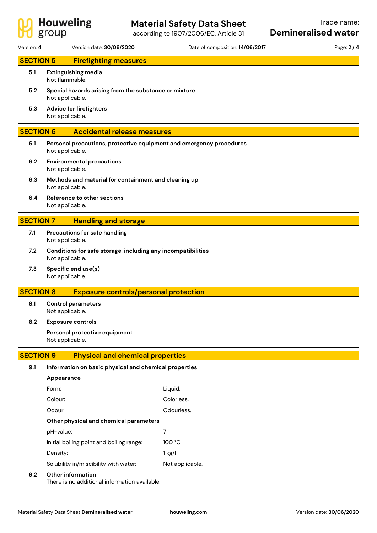

according to 1907/2006/EC, Article 31

| Version: 4       | Version date: 30/06/2020                                                               | Date of composition: 14/06/2017 | Page: 2 / 4 |  |  |  |
|------------------|----------------------------------------------------------------------------------------|---------------------------------|-------------|--|--|--|
| <b>SECTION 5</b> | <b>Firefighting measures</b>                                                           |                                 |             |  |  |  |
| 5.1              | <b>Extinguishing media</b><br>Not flammable.                                           |                                 |             |  |  |  |
| 5.2              | Special hazards arising from the substance or mixture<br>Not applicable.               |                                 |             |  |  |  |
| 5.3              | Advice for firefighters<br>Not applicable.                                             |                                 |             |  |  |  |
| <b>SECTION 6</b> | <b>Accidental release measures</b>                                                     |                                 |             |  |  |  |
| 6.1              | Personal precautions, protective equipment and emergency procedures<br>Not applicable. |                                 |             |  |  |  |
| 6.2              | <b>Environmental precautions</b><br>Not applicable.                                    |                                 |             |  |  |  |
| 6.3              | Methods and material for containment and cleaning up<br>Not applicable.                |                                 |             |  |  |  |
| 6.4              | Reference to other sections<br>Not applicable.                                         |                                 |             |  |  |  |
| <b>SECTION 7</b> | <b>Handling and storage</b>                                                            |                                 |             |  |  |  |
| 7.1              | Precautions for safe handling<br>Not applicable.                                       |                                 |             |  |  |  |
| 7.2              | Conditions for safe storage, including any incompatibilities<br>Not applicable.        |                                 |             |  |  |  |
| 7.3              | Specific end use(s)<br>Not applicable.                                                 |                                 |             |  |  |  |
| <b>SECTION 8</b> | <b>Exposure controls/personal protection</b>                                           |                                 |             |  |  |  |
| 8.1              | <b>Control parameters</b><br>Not applicable.                                           |                                 |             |  |  |  |
| 8.2              | <b>Exposure controls</b>                                                               |                                 |             |  |  |  |
|                  | Personal protective equipment<br>Not applicable.                                       |                                 |             |  |  |  |
| <b>SECTION 9</b> | <b>Physical and chemical properties</b>                                                |                                 |             |  |  |  |
| 9.1              | Information on basic physical and chemical properties                                  |                                 |             |  |  |  |
|                  | Appearance                                                                             |                                 |             |  |  |  |
|                  | Form:                                                                                  | Liquid.                         |             |  |  |  |
|                  | Colour:                                                                                | Colorless.                      |             |  |  |  |
|                  | Odour:                                                                                 | Odourless.                      |             |  |  |  |
|                  | Other physical and chemical parameters                                                 |                                 |             |  |  |  |
|                  | pH-value:                                                                              | 7                               |             |  |  |  |
|                  | Initial boiling point and boiling range:                                               | 100 °C                          |             |  |  |  |
|                  | Density:                                                                               | $1$ kg/l                        |             |  |  |  |
|                  | Solubility in/miscibility with water:                                                  | Not applicable.                 |             |  |  |  |
| 9.2              | Other information<br>There is no additional information available.                     |                                 |             |  |  |  |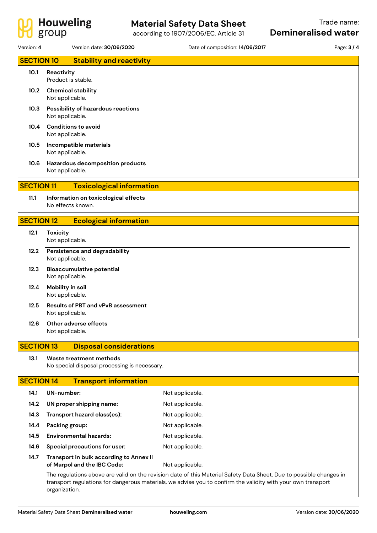

according to 1907/2006/EC, Article 31

| Version: 4        | Version date: 30/06/2020                                                | Date of composition: 14/06/2017                                                                                                                                                                                                     | Page: 3 / 4 |
|-------------------|-------------------------------------------------------------------------|-------------------------------------------------------------------------------------------------------------------------------------------------------------------------------------------------------------------------------------|-------------|
| <b>SECTION 10</b> | <b>Stability and reactivity</b>                                         |                                                                                                                                                                                                                                     |             |
| 10.1              | Reactivity<br>Product is stable.                                        |                                                                                                                                                                                                                                     |             |
| 10.2              | <b>Chemical stability</b><br>Not applicable.                            |                                                                                                                                                                                                                                     |             |
| 10.3              | <b>Possibility of hazardous reactions</b><br>Not applicable.            |                                                                                                                                                                                                                                     |             |
| 10.4              | <b>Conditions to avoid</b><br>Not applicable.                           |                                                                                                                                                                                                                                     |             |
| 10.5              | Incompatible materials<br>Not applicable.                               |                                                                                                                                                                                                                                     |             |
| 10.6              | Hazardous decomposition products<br>Not applicable.                     |                                                                                                                                                                                                                                     |             |
| <b>SECTION 11</b> | <b>Toxicological information</b>                                        |                                                                                                                                                                                                                                     |             |
| 11.1              | Information on toxicological effects<br>No effects known.               |                                                                                                                                                                                                                                     |             |
| <b>SECTION 12</b> | <b>Ecological information</b>                                           |                                                                                                                                                                                                                                     |             |
| 12.1              | <b>Toxicity</b><br>Not applicable.                                      |                                                                                                                                                                                                                                     |             |
| 12.2              | Persistence and degradability<br>Not applicable.                        |                                                                                                                                                                                                                                     |             |
| 12.3              | <b>Bioaccumulative potential</b><br>Not applicable.                     |                                                                                                                                                                                                                                     |             |
| 12.4              | Mobility in soil<br>Not applicable.                                     |                                                                                                                                                                                                                                     |             |
| 12.5              | <b>Results of PBT and vPvB assessment</b><br>Not applicable.            |                                                                                                                                                                                                                                     |             |
| 12.6              | Other adverse effects<br>Not applicable.                                |                                                                                                                                                                                                                                     |             |
| <b>SECTION 13</b> | <b>Disposal considerations</b>                                          |                                                                                                                                                                                                                                     |             |
| 13.1              | Waste treatment methods<br>No special disposal processing is necessary. |                                                                                                                                                                                                                                     |             |
| <b>SECTION 14</b> | <b>Transport information</b>                                            |                                                                                                                                                                                                                                     |             |
| 14.1              | UN-number:                                                              | Not applicable.                                                                                                                                                                                                                     |             |
| 14.2              | UN proper shipping name:                                                | Not applicable.                                                                                                                                                                                                                     |             |
| 14.3              | Transport hazard class(es):                                             | Not applicable.                                                                                                                                                                                                                     |             |
| 14.4              | Packing group:                                                          | Not applicable.                                                                                                                                                                                                                     |             |
| 14.5              | <b>Environmental hazards:</b>                                           | Not applicable.                                                                                                                                                                                                                     |             |
| 14.6              | Special precautions for user:                                           | Not applicable.                                                                                                                                                                                                                     |             |
| 14.7              | Transport in bulk according to Annex II<br>of Marpol and the IBC Code:  | Not applicable.                                                                                                                                                                                                                     |             |
|                   | organization.                                                           | The regulations above are valid on the revision date of this Material Safety Data Sheet. Due to possible changes in<br>transport regulations for dangerous materials, we advise you to confirm the validity with your own transport |             |